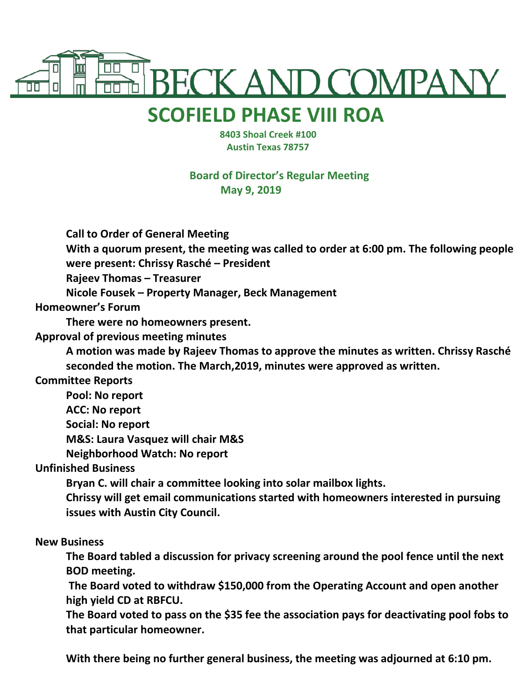

## **SCOFIELD PHASE VIII ROA**

 **8403 Shoal Creek #100 Austin Texas 78757**

**Board of Director's Regular Meeting May 9, 2019**

**Call to Order of General Meeting**

**With a quorum present, the meeting was called to order at 6:00 pm. The following people were present: Chrissy Rasché – President**

**Rajeev Thomas – Treasurer**

**Nicole Fousek – Property Manager, Beck Management**

**Homeowner's Forum**

**There were no homeowners present.**

**Approval of previous meeting minutes**

**A motion was made by Rajeev Thomas to approve the minutes as written. Chrissy Rasché seconded the motion. The March,2019, minutes were approved as written.**

**Committee Reports**

**Pool: No report**

**ACC: No report**

**Social: No report**

**M&S: Laura Vasquez will chair M&S**

**Neighborhood Watch: No report**

**Unfinished Business**

**Bryan C. will chair a committee looking into solar mailbox lights.**

**Chrissy will get email communications started with homeowners interested in pursuing issues with Austin City Council.**

## **New Business**

**The Board tabled a discussion for privacy screening around the pool fence until the next BOD meeting.**

**The Board voted to withdraw \$150,000 from the Operating Account and open another high yield CD at RBFCU.**

**The Board voted to pass on the \$35 fee the association pays for deactivating pool fobs to that particular homeowner.**

**With there being no further general business, the meeting was adjourned at 6:10 pm.**